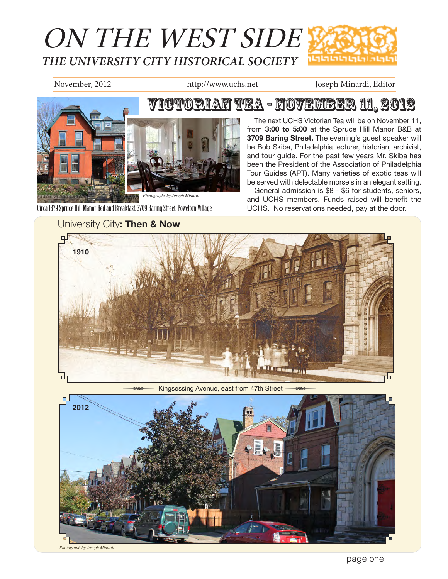

November, 2012 http://www.uchs.net Joseph Minardi, Editor



Circa 1879 Spruce Hill Manor Bed and Breakfast, 3709 Baring Street, Powelton Village

## University City**: Then & Now**

The next UCHS Victorian Tea will be on November 11, from **3:00 to 5:00** at the Spruce Hill Manor B&B at **3709 Baring Street.** The evening's guest speaker will be Bob Skiba, Philadelphia lecturer, historian, archivist, and tour guide. For the past few years Mr. Skiba has been the President of the Association of Philadelphia Tour Guides (APT). Many varieties of exotic teas will be served with delectable morsels in an elegant setting.

General admission is \$8 - \$6 for students, seniors, and UCHS members. Funds raised will benefit the UCHS. No reservations needed, pay at the door.



Kingsessing Avenue, east from 47th Street



*Photograph by Joseph Minardi*